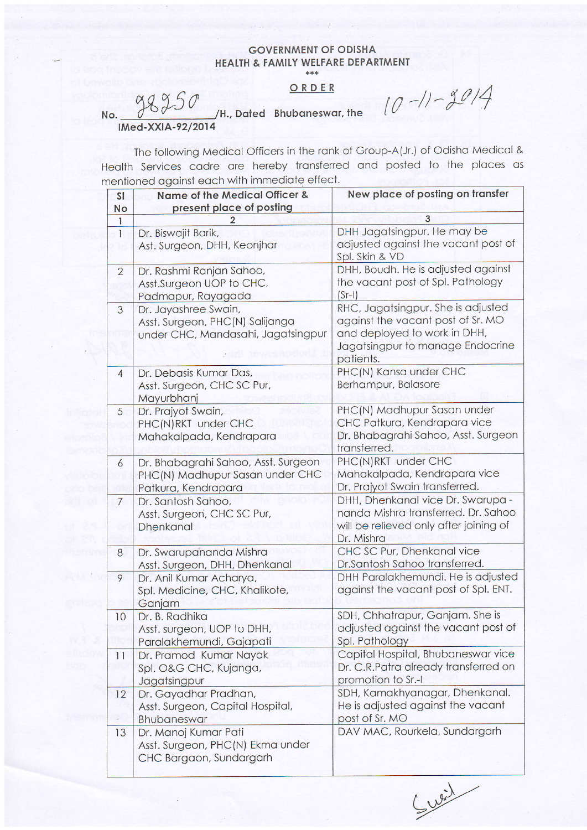## **GOVERNMENT OF ODISHA** HEALTH & FAMILY WELFARE DEPARTMENT \*\*\*

## ORDER

98250 No. IMed-XXIA-92/2014

/H., Dated Bhubaneswar, the

 $10 - 11 - 2014$ 

The following Medical Officers in the rank of Group-A(Jr.) of Odisha Medical & Health Services cadre are hereby transferred and posted to the places as mentioned against each with immediate effect.

| <b>SI</b>      | Name of the Medical Officer &                                                                 | New place of posting on transfer                                                                                                                         |
|----------------|-----------------------------------------------------------------------------------------------|----------------------------------------------------------------------------------------------------------------------------------------------------------|
| No             | present place of posting                                                                      |                                                                                                                                                          |
| $\mathbf{1}$   |                                                                                               | 3                                                                                                                                                        |
| $\mathbf{I}$   | Dr. Biswajit Barik,<br>Ast. Surgeon, DHH, Keonjhar                                            | DHH Jagatsingpur. He may be<br>adjusted against the vacant post of<br>Spl. Skin & VD                                                                     |
| $\overline{2}$ | Dr. Rashmi Ranjan Sahoo,<br>Asst.Surgeon UOP to CHC,<br>Padmapur, Rayagada                    | DHH, Boudh. He is adjusted against<br>the vacant post of Spl. Pathology<br>$(Sr-1)$                                                                      |
| 3              | Dr. Jayashree Swain,<br>Asst. Surgeon, PHC(N) Salijanga<br>under CHC, Mandasahi, Jagatsingpur | RHC, Jagatsingpur. She is adjusted<br>against the vacant post of Sr. MO<br>and deployed to work in DHH,<br>Jagatsingpur to manage Endocrine<br>patients. |
| $\overline{4}$ | Dr. Debasis Kumar Das,<br>Asst. Surgeon, CHC SC Pur,<br>Mayurbhanj                            | PHC(N) Kansa under CHC<br>Berhampur, Balasore                                                                                                            |
| 5              | Dr. Prajyot Swain,<br>PHC(N)RKT under CHC<br>Mahakalpada, Kendrapara                          | PHC(N) Madhupur Sasan under<br>CHC Patkura, Kendrapara vice<br>Dr. Bhabagrahi Sahoo, Asst. Surgeon<br>transferred.                                       |
| 6              | Dr. Bhabagrahi Sahoo, Asst. Surgeon<br>PHC(N) Madhupur Sasan under CHC<br>Patkura, Kendrapara | PHC(N)RKT under CHC<br>Mahakalpada, Kendrapara vice<br>Dr. Prajyot Swain transferred.                                                                    |
| $\overline{7}$ | Dr. Santosh Sahoo,<br>Asst. Surgeon, CHC SC Pur,<br>Dhenkanal                                 | DHH, Dhenkanal vice Dr. Swarupa -<br>nanda Mishra transferred. Dr. Sahoo<br>will be relieved only after joining of<br>Dr. Mishra                         |
| $\bf{8}$       | Dr. Swarupananda Mishra<br>Asst. Surgeon, DHH, Dhenkanal                                      | CHC SC Pur, Dhenkanal vice<br>Dr.Santosh Sahoo transferred.                                                                                              |
| 9              | Dr. Anil Kumar Acharya,<br>Spl. Medicine, CHC, Khalikote,<br>Ganjam                           | DHH Paralakhemundi. He is adjusted<br>against the vacant post of Spl. ENT.                                                                               |
| 10             | Dr. B. Radhika<br>Asst. surgeon, UOP Io DHH,<br>Paralakhemundi, Gajapati                      | SDH, Chhatrapur, Ganjam. She is<br>adjusted against the vacant post of<br>Spl. Pathology                                                                 |
| 11             | Dr. Pramod Kumar Nayak<br>Spl. O&G CHC, Kujanga,<br>Jagatsingpur                              | Capital Hospital, Bhubaneswar vice<br>Dr. C.R.Patra already transferred on<br>promotion to Sr.-I                                                         |
| 12             | Dr. Gayadhar Pradhan,<br>Asst. Surgeon, Capital Hospital,<br>Bhubaneswar                      | SDH, Kamakhyanagar, Dhenkanal.<br>He is adjusted against the vacant<br>post of Sr. MO                                                                    |
| 13             | Dr. Manoj Kumar Pati<br>Asst. Surgeon, PHC(N) Ekma under<br>CHC Bargaon, Sundargarh           | DAV MAC, Rourkela, Sundargarh                                                                                                                            |

Sweit